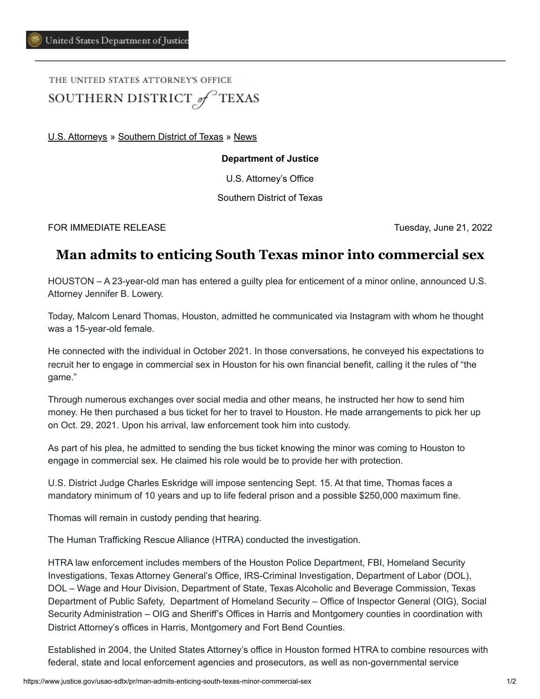THE UNITED STATES ATTORNEY'S OFFICE SOUTHERN DISTRICT of TEXAS

[U.S. Attorneys](https://www.justice.gov/usao) » [Southern District of Texas](https://www.justice.gov/usao-sdtx) » [News](https://www.justice.gov/usao-sdtx/pr)

## **Department of Justice**

U.S. Attorney's Office

Southern District of Texas

FOR IMMEDIATE RELEASE Tuesday, June 21, 2022

## **Man admits to enticing South Texas minor into commercial sex**

HOUSTON – A 23-year-old man has entered a guilty plea for enticement of a minor online, announced U.S. Attorney Jennifer B. Lowery.

Today, Malcom Lenard Thomas, Houston, admitted he communicated via Instagram with whom he thought was a 15-year-old female.

He connected with the individual in October 2021. In those conversations, he conveyed his expectations to recruit her to engage in commercial sex in Houston for his own financial benefit, calling it the rules of "the game."

Through numerous exchanges over social media and other means, he instructed her how to send him money. He then purchased a bus ticket for her to travel to Houston. He made arrangements to pick her up on Oct. 29, 2021. Upon his arrival, law enforcement took him into custody.

As part of his plea, he admitted to sending the bus ticket knowing the minor was coming to Houston to engage in commercial sex. He claimed his role would be to provide her with protection.

U.S. District Judge Charles Eskridge will impose sentencing Sept. 15. At that time, Thomas faces a mandatory minimum of 10 years and up to life federal prison and a possible \$250,000 maximum fine.

Thomas will remain in custody pending that hearing.

The Human Trafficking Rescue Alliance (HTRA) conducted the investigation.

HTRA law enforcement includes members of the Houston Police Department, FBI, Homeland Security Investigations, Texas Attorney General's Office, IRS-Criminal Investigation, Department of Labor (DOL), DOL – Wage and Hour Division, Department of State, Texas Alcoholic and Beverage Commission, Texas Department of Public Safety, Department of Homeland Security – Office of Inspector General (OIG), Social Security Administration – OIG and Sheriff's Offices in Harris and Montgomery counties in coordination with District Attorney's offices in Harris, Montgomery and Fort Bend Counties.

Established in 2004, the United States Attorney's office in Houston formed HTRA to combine resources with federal, state and local enforcement agencies and prosecutors, as well as non-governmental service